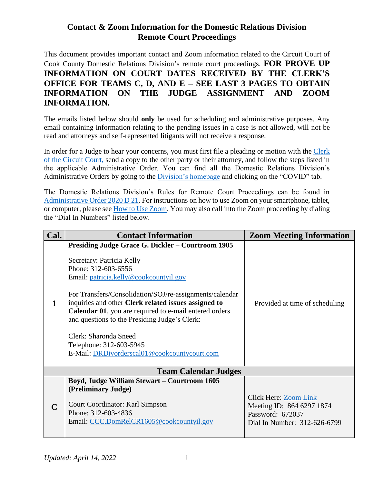## **Contact & Zoom Information for the Domestic Relations Division Remote Court Proceedings**

This document provides important contact and Zoom information related to the Circuit Court of Cook County Domestic Relations Division's remote court proceedings. **FOR PROVE UP INFORMATION ON COURT DATES RECEIVED BY THE CLERK'S OFFICE FOR TEAMS C, D, AND E – SEE LAST 3 PAGES TO OBTAIN INFORMATION ON THE JUDGE ASSIGNMENT AND ZOOM INFORMATION.**

The emails listed below should **only** be used for scheduling and administrative purposes. Any email containing information relating to the pending issues in a case is not allowed, will not be read and attorneys and self-represented litigants will not receive a response.

In order for a Judge to hear your concerns, you must first file a pleading or motion with the Clerk [of the Circuit Court,](http://www.cookcountyclerkofcourt.org/NewWebsite) send a copy to the other party or their attorney, and follow the steps listed in the applicable Administrative Order. You can find all the Domestic Relations Division's Administrative Orders by going to the [Division's homepage](http://www.cookcountycourt.org/ABOUTTHECOURT/CountyDepartment/DomesticRelationsDivision.aspx) and clicking on the "COVID" tab.

The Domestic Relations Division's Rules for Remote Court Proceedings can be found in [Administrative Order 2020 D 21.](http://www.cookcountycourt.org/Portals/0/Domestic%20Relations%20Division/General%20Administrative%20Orders/Amended/A/AO%202020%20D%2021%20Amended.pdf) For instructions on how to use Zoom on your smartphone, tablet, or computer, please se[e How to Use Zoom.](https://courts.illinois.gov/CivilJustice/Training_Education/SRL-Zoom_Instructions.pdf) You may also call into the Zoom proceeding by dialing the "Dial In Numbers" listed below.

| Cal.        | <b>Contact Information</b>                                                                                                                                                                                                                                                                                                                                                                                                                                                               | <b>Zoom Meeting Information</b>                                                                        |
|-------------|------------------------------------------------------------------------------------------------------------------------------------------------------------------------------------------------------------------------------------------------------------------------------------------------------------------------------------------------------------------------------------------------------------------------------------------------------------------------------------------|--------------------------------------------------------------------------------------------------------|
| 1           | <b>Presiding Judge Grace G. Dickler – Courtroom 1905</b><br>Secretary: Patricia Kelly<br>Phone: 312-603-6556<br>Email: patricia.kelly@cookcountyil.gov<br>For Transfers/Consolidation/SOJ/re-assignments/calendar<br>inquiries and other Clerk related issues assigned to<br>Calendar 01, you are required to e-mail entered orders<br>and questions to the Presiding Judge's Clerk:<br>Clerk: Sharonda Sneed<br>Telephone: 312-603-5945<br>E-Mail: DRDivorderscal01@cookcountycourt.com | Provided at time of scheduling                                                                         |
|             | <b>Team Calendar Judges</b>                                                                                                                                                                                                                                                                                                                                                                                                                                                              |                                                                                                        |
| $\mathbf C$ | <b>Boyd, Judge William Stewart - Courtroom 1605</b><br>(Preliminary Judge)<br>Court Coordinator: Karl Simpson<br>Phone: 312-603-4836<br>Email: CCC.DomRelCR1605@cookcountyil.gov                                                                                                                                                                                                                                                                                                         | Click Here: Zoom Link<br>Meeting ID: 864 6297 1874<br>Password: 672037<br>Dial In Number: 312-626-6799 |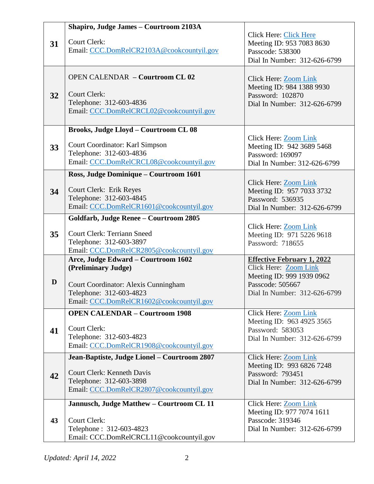|    | Shapiro, Judge James - Courtroom 2103A                              |                                                    |
|----|---------------------------------------------------------------------|----------------------------------------------------|
|    | <b>Court Clerk:</b>                                                 | Click Here: Click Here                             |
| 31 | Email: CCC.DomRelCR2103A@cookcountyil.gov                           | Meeting ID: 953 7083 8630<br>Passcode: 538300      |
|    |                                                                     | Dial In Number: 312-626-6799                       |
|    |                                                                     |                                                    |
|    | <b>OPEN CALENDAR - Courtroom CL 02</b>                              | Click Here: Zoom Link                              |
|    |                                                                     | Meeting ID: 984 1388 9930                          |
| 32 | <b>Court Clerk:</b><br>Telephone: 312-603-4836                      | Password: 102870                                   |
|    | Email: CCC.DomRelCRCL02@cookcountyil.gov                            | Dial In Number: 312-626-6799                       |
|    |                                                                     |                                                    |
|    | <b>Brooks, Judge Lloyd - Courtroom CL 08</b>                        |                                                    |
|    |                                                                     | Click Here: Zoom Link                              |
| 33 | Court Coordinator: Karl Simpson<br>Telephone: 312-603-4836          | Meeting ID: 942 3689 5468<br>Password: 169097      |
|    | Email: CCC.DomRelCRCL08@cookcountyil.gov                            | Dial In Number: 312-626-6799                       |
|    | Ross, Judge Dominique - Courtroom 1601                              |                                                    |
|    |                                                                     | Click Here: Zoom Link                              |
| 34 | <b>Court Clerk: Erik Reyes</b>                                      | Meeting ID: 957 7033 3732                          |
|    | Telephone: 312-603-4845                                             | Password: 536935                                   |
|    | Email: CCC.DomRelCR1601@cookcountyil.gov                            | Dial In Number: 312-626-6799                       |
|    | Goldfarb, Judge Renee - Courtroom 2805                              |                                                    |
| 35 | <b>Court Clerk: Terriann Sneed</b>                                  | Click Here: Zoom Link<br>Meeting ID: 971 5226 9618 |
|    | Telephone: 312-603-3897                                             | Password: 718655                                   |
|    | Email: CCC.DomRelCR2805@cookcountyil.gov                            |                                                    |
|    | Arce, Judge Edward - Courtroom 1602                                 | <b>Effective February 1, 2022</b>                  |
|    | (Preliminary Judge)                                                 | Click Here: Zoom Link<br>Meeting ID: 999 1939 0962 |
| D  | Court Coordinator: Alexis Cunningham                                | Passcode: 505667                                   |
|    | Telephone: 312-603-4823                                             | Dial In Number: 312-626-6799                       |
|    | Email: CCC.DomRelCR1602@cookcountyil.gov                            |                                                    |
|    | <b>OPEN CALENDAR - Courtroom 1908</b>                               | <b>Click Here: Zoom Link</b>                       |
|    | <b>Court Clerk:</b>                                                 | Meeting ID: 963 4925 3565                          |
| 41 | Telephone: 312-603-4823                                             | Password: 583053<br>Dial In Number: 312-626-6799   |
|    | Email: CCC.DomRelCR1908@cookcountyil.gov                            |                                                    |
|    | Jean-Baptiste, Judge Lionel - Courtroom 2807                        | Click Here: Zoom Link                              |
|    |                                                                     | Meeting ID: 993 6826 7248                          |
| 42 | <b>Court Clerk: Kenneth Davis</b>                                   | Password: 793451                                   |
|    | Telephone: 312-603-3898<br>Email: CCC.DomRelCR2807@cookcountyil.gov | Dial In Number: 312-626-6799                       |
|    |                                                                     |                                                    |
|    | Jannusch, Judge Matthew - Courtroom CL 11                           | Click Here: <b>Zoom Link</b>                       |
| 43 | <b>Court Clerk:</b>                                                 | Meeting ID: 977 7074 1611<br>Passcode: 319346      |
|    | Telephone: 312-603-4823                                             | Dial In Number: 312-626-6799                       |
|    | Email: CCC.DomRelCRCL11@cookcountyil.gov                            |                                                    |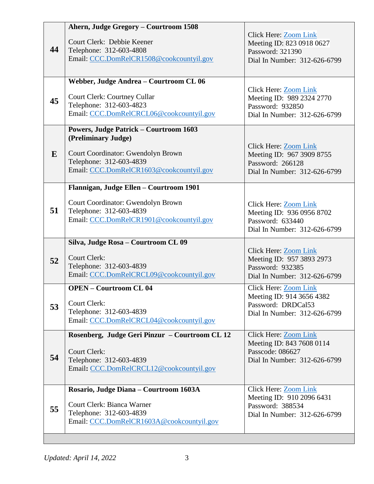| 44 | Ahern, Judge Gregory - Courtroom 1508<br>Court Clerk: Debbie Keener<br>Telephone: 312-603-4808<br>Email: CCC.DomRelCR1508@cookcountyil.gov                                        | Click Here: Zoom Link<br>Meeting ID: 823 0918 0627<br>Password: 321390<br>Dial In Number: 312-626-6799          |
|----|-----------------------------------------------------------------------------------------------------------------------------------------------------------------------------------|-----------------------------------------------------------------------------------------------------------------|
| 45 | Webber, Judge Andrea - Courtroom CL 06<br>Court Clerk: Courtney Cullar<br>Telephone: 312-603-4823<br>Email: CCC.DomRelCRCL06@cookcountyil.gov                                     | Click Here: Zoom Link<br>Meeting ID: 989 2324 2770<br>Password: 932850<br>Dial In Number: 312-626-6799          |
| E  | <b>Powers, Judge Patrick - Courtroom 1603</b><br>(Preliminary Judge)<br>Court Coordinator: Gwendolyn Brown<br>Telephone: 312-603-4839<br>Email: CCC.DomRelCR1603@cookcountyil.gov | Click Here: Zoom Link<br>Meeting ID: 967 3909 8755<br>Password: 266128<br>Dial In Number: 312-626-6799          |
| 51 | Flannigan, Judge Ellen - Courtroom 1901<br>Court Coordinator: Gwendolyn Brown<br>Telephone: 312-603-4839<br>Email: CCC.DomRelCR1901@cookcountyil.gov                              | Click Here: Zoom Link<br>Meeting ID: 936 0956 8702<br>Password: 633440<br>Dial In Number: 312-626-6799          |
| 52 | Silva, Judge Rosa - Courtroom CL 09<br><b>Court Clerk:</b><br>Telephone: 312-603-4839<br>Email: CCC.DomRelCRCL09@cookcountyil.gov                                                 | Click Here: Zoom Link<br>Meeting ID: 957 3893 2973<br>Password: 932385<br>Dial In Number: 312-626-6799          |
| 53 | <b>OPEN - Courtroom CL 04</b><br>Court Clerk:<br>Telephone: 312-603-4839<br>Email: CCC.DomRelCRCL04@cookcountyil.gov                                                              | <b>Click Here: Zoom Link</b><br>Meeting ID: 914 3656 4382<br>Password: DRDCal53<br>Dial In Number: 312-626-6799 |
| 54 | Rosenberg, Judge Geri Pinzur - Courtroom CL 12<br><b>Court Clerk:</b><br>Telephone: 312-603-4839<br>Email: CCC.DomRelCRCL12@cookcountyil.gov                                      | <b>Click Here: Zoom Link</b><br>Meeting ID: 843 7608 0114<br>Passcode: 086627<br>Dial In Number: 312-626-6799   |
| 55 | Rosario, Judge Diana - Courtroom 1603A<br>Court Clerk: Bianca Warner<br>Telephone: 312-603-4839<br>Email: CCC.DomRelCR1603A@cookcountyil.gov                                      | Click Here: Zoom Link<br>Meeting ID: 910 2096 6431<br>Password: 388534<br>Dial In Number: 312-626-6799          |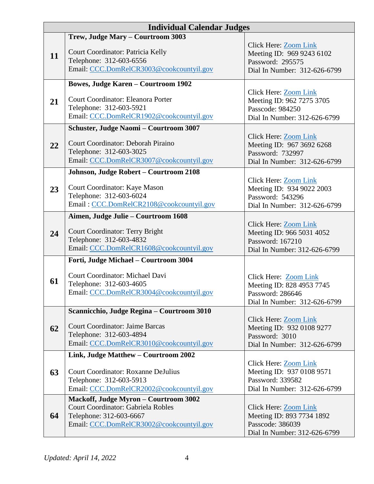| <b>Individual Calendar Judges</b> |                                                                                                                                                                  |                                                                                                               |
|-----------------------------------|------------------------------------------------------------------------------------------------------------------------------------------------------------------|---------------------------------------------------------------------------------------------------------------|
| 11                                | Trew, Judge Mary - Courtroom 3003<br>Court Coordinator: Patricia Kelly<br>Telephone: 312-603-6556<br>Email: CCC.DomRelCR3003@cookcountyil.gov                    | Click Here: Zoom Link<br>Meeting ID: 969 9243 6102<br>Password: 295575<br>Dial In Number: 312-626-6799        |
| 21                                | <b>Bowes, Judge Karen – Courtroom 1902</b><br>Court Coordinator: Eleanora Porter<br>Telephone: 312-603-5921<br>Email: CCC.DomRelCR1902@cookcountyil.gov          | <b>Click Here: Zoom Link</b><br>Meeting ID: 962 7275 3705<br>Passcode: 984250<br>Dial In Number: 312-626-6799 |
| 22                                | Schuster, Judge Naomi - Courtroom 3007<br>Court Coordinator: Deborah Piraino<br>Telephone: 312-603-3025<br>Email: CCC.DomRelCR3007@cookcountyil.gov              | Click Here: Zoom Link<br>Meeting ID: 967 3692 6268<br>Password: 732997<br>Dial In Number: 312-626-6799        |
| 23                                | Johnson, Judge Robert - Courtroom 2108<br>Court Coordinator: Kaye Mason<br>Telephone: 312-603-6024<br>Email: CCC.DomRelCR2108@cookcountyil.gov                   | Click Here: Zoom Link<br>Meeting ID: 934 9022 2003<br>Password: 543296<br>Dial In Number: 312-626-6799        |
| 24                                | Aimen, Judge Julie – Courtroom 1608<br><b>Court Coordinator: Terry Bright</b><br>Telephone: 312-603-4832<br>Email: CCC.DomRelCR1608@cookcountyil.gov             | Click Here: Zoom Link<br>Meeting ID: 966 5031 4052<br>Password: 167210<br>Dial In Number: 312-626-6799        |
| 61                                | Forti, Judge Michael - Courtroom 3004<br>Court Coordinator: Michael Davi<br>Telephone: 312-603-4605<br>Email: CCC.DomRelCR3004@cookcountyil.gov                  | Click Here: Zoom Link<br>Meeting ID: 828 4953 7745<br>Password: 286646<br>Dial In Number: 312-626-6799        |
| 62                                | Scannicchio, Judge Regina - Courtroom 3010<br><b>Court Coordinator: Jaime Barcas</b><br>Telephone: 312-603-4894<br>Email: CCC.DomRelCR3010@cookcountyil.gov      | Click Here: Zoom Link<br>Meeting ID: 932 0108 9277<br>Password: 3010<br>Dial In Number: 312-626-6799          |
| 63                                | Link, Judge Matthew - Courtroom 2002<br><b>Court Coordinator: Roxanne DeJulius</b><br>Telephone: 312-603-5913<br>Email: CCC.DomRelCR2002@cookcountyil.gov        | <b>Click Here: Zoom Link</b><br>Meeting ID: 937 0108 9571<br>Password: 339582<br>Dial In Number: 312-626-6799 |
| 64                                | <b>Mackoff, Judge Myron - Courtroom 3002</b><br><b>Court Coordinator: Gabriela Robles</b><br>Telephone: 312-603-6667<br>Email: CCC.DomRelCR3002@cookcountyil.gov | Click Here: Zoom Link<br>Meeting ID: 893 7734 1892<br>Passcode: 386039<br>Dial In Number: 312-626-6799        |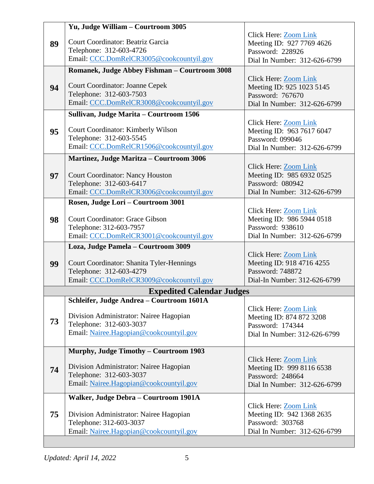|    | Yu, Judge William - Courtroom 3005                                            |                                                    |
|----|-------------------------------------------------------------------------------|----------------------------------------------------|
|    |                                                                               | Click Here: <b>Zoom Link</b>                       |
| 89 | Court Coordinator: Beatriz Garcia                                             | Meeting ID: 927 7769 4626                          |
|    | Telephone: 312-603-4726                                                       | Password: 228926                                   |
|    | Email: CCC.DomRelCR3005@cookcountyil.gov                                      | Dial In Number: 312-626-6799                       |
|    | Romanek, Judge Abbey Fishman - Courtroom 3008                                 |                                                    |
|    |                                                                               | Click Here: Zoom Link                              |
| 94 | <b>Court Coordinator: Joanne Cepek</b>                                        | Meeting ID: 925 1023 5145                          |
|    | Telephone: 312-603-7503                                                       | Password: 767670                                   |
|    | Email: CCC.DomRelCR3008@cookcountyil.gov                                      | Dial In Number: 312-626-6799                       |
|    | Sullivan, Judge Marita - Courtroom 1506                                       |                                                    |
|    |                                                                               | Click Here: Zoom Link                              |
| 95 | Court Coordinator: Kimberly Wilson                                            | Meeting ID: 963 7617 6047                          |
|    | Telephone: 312-603-5545                                                       | Password: 099046                                   |
|    | Email: CCC.DomRelCR1506@cookcountyil.gov                                      | Dial In Number: 312-626-6799                       |
|    | <b>Martinez, Judge Maritza – Courtroom 3006</b>                               |                                                    |
|    |                                                                               | Click Here: Zoom Link                              |
| 97 | <b>Court Coordinator: Nancy Houston</b>                                       | Meeting ID: 985 6932 0525                          |
|    | Telephone: 312-603-6417                                                       | Password: 080942                                   |
|    | Email: CCC.DomRelCR3006@cookcountyil.gov                                      | Dial In Number: 312-626-6799                       |
|    | Rosen, Judge Lori - Courtroom 3001                                            |                                                    |
|    |                                                                               | Click Here: Zoom Link                              |
| 98 | <b>Court Coordinator: Grace Gibson</b>                                        | Meeting ID: 986 5944 0518<br>Password: 938610      |
|    | Telephone: 312-603-7957<br>Email: CCC.DomRelCR3001@cookcountyil.gov           | Dial In Number: 312-626-6799                       |
|    |                                                                               |                                                    |
|    | Loza, Judge Pamela - Courtroom 3009                                           |                                                    |
|    | Court Coordinator: Shanita Tyler-Hennings                                     | Click Here: Zoom Link<br>Meeting ID: 918 4716 4255 |
| 99 | Telephone: 312-603-4279                                                       | Password: 748872                                   |
|    | Email: CCC.DomRelCR3009@cookcountyil.gov                                      | Dial-In Number: 312-626-6799                       |
|    |                                                                               |                                                    |
|    | <b>Expedited Calendar Judges</b><br>Schleifer, Judge Andrea - Courtroom 1601A |                                                    |
|    |                                                                               | Click Here: Zoom Link                              |
|    | Division Administrator: Nairee Hagopian                                       | Meeting ID: 874 872 3208                           |
| 73 | Telephone: 312-603-3037                                                       | Password: 174344                                   |
|    | Email: Nairee.Hagopian@cookcountyil.gov                                       | Dial In Number: 312-626-6799                       |
|    |                                                                               |                                                    |
|    | Murphy, Judge Timothy - Courtroom 1903                                        |                                                    |
|    |                                                                               | Click Here: Zoom Link                              |
| 74 | Division Administrator: Nairee Hagopian                                       | Meeting ID: 999 8116 6538                          |
|    | Telephone: 312-603-3037                                                       | Password: 248664                                   |
|    | Email: Nairee.Hagopian@cookcountyil.gov                                       | Dial In Number: 312-626-6799                       |
|    | Walker, Judge Debra - Courtroom 1901A                                         |                                                    |
|    |                                                                               | Click Here: Zoom Link                              |
| 75 | Division Administrator: Nairee Hagopian                                       | Meeting ID: 942 1368 2635                          |
|    | Telephone: 312-603-3037                                                       | Password: 303768                                   |
|    | Email: Nairee.Hagopian@cookcountyil.gov                                       | Dial In Number: 312-626-6799                       |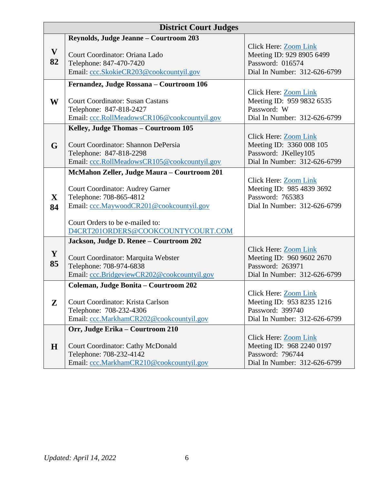|                    | <b>District Court Judges</b>                                                                                                                                                                     |                                                                                                           |
|--------------------|--------------------------------------------------------------------------------------------------------------------------------------------------------------------------------------------------|-----------------------------------------------------------------------------------------------------------|
| $\mathbf{V}$<br>82 | Reynolds, Judge Jeanne - Courtroom 203<br>Court Coordinator: Oriana Lado<br>Telephone: 847-470-7420                                                                                              | Click Here: Zoom Link<br>Meeting ID: 929 8905 6499<br>Password: 016574                                    |
|                    | Email: ccc.SkokieCR203@cookcountyil.gov                                                                                                                                                          | Dial In Number: 312-626-6799                                                                              |
|                    | Fernandez, Judge Rossana - Courtroom 106                                                                                                                                                         |                                                                                                           |
| W                  | <b>Court Coordinator: Susan Castans</b><br>Telephone: 847-818-2427<br>Email: ccc.RollMeadowsCR106@cookcountyil.gov                                                                               | Click Here: Zoom Link<br>Meeting ID: 959 9832 6535<br>Password: W<br>Dial In Number: 312-626-6799         |
|                    | Kelley, Judge Thomas - Courtroom 105                                                                                                                                                             |                                                                                                           |
| G                  | Court Coordinator: Shannon DePersia<br>Telephone: 847-818-2298<br>Email: ccc.RollMeadowsCR105@cookcountyil.gov                                                                                   | Click Here: Zoom Link<br>Meeting ID: 3360 008 105<br>Password: JKelley105<br>Dial In Number: 312-626-6799 |
| $\mathbf{X}$<br>84 | McMahon Zeller, Judge Maura - Courtroom 201<br><b>Court Coordinator: Audrey Garner</b><br>Telephone: 708-865-4812<br>Email: ccc.MaywoodCR201@cookcountyil.gov<br>Court Orders to be e-mailed to: | Click Here: Zoom Link<br>Meeting ID: 985 4839 3692<br>Password: 765383<br>Dial In Number: 312-626-6799    |
|                    | D4CRT201ORDERS@COOKCOUNTYCOURT.COM                                                                                                                                                               |                                                                                                           |
| Y<br>85            | Jackson, Judge D. Renee - Courtroom 202<br>Court Coordinator: Marquita Webster<br>Telephone: 708-974-6838<br>Email: ccc.BridgeviewCR202@cookcountyil.gov                                         | Click Here: Zoom Link<br>Meeting ID: 960 9602 2670<br>Password: 263971<br>Dial In Number: 312-626-6799    |
|                    | Coleman, Judge Bonita - Courtroom 202                                                                                                                                                            | Click Here: Zoom Link                                                                                     |
| $\mathbf{Z}$       | Court Coordinator: Krista Carlson<br>Telephone: 708-232-4306<br>Email: ccc.MarkhamCR202@cookcountyil.gov                                                                                         | Meeting ID: 953 8235 1216<br>Password: 399740<br>Dial In Number: 312-626-6799                             |
| $\bf H$            | Orr, Judge Erika - Courtroom 210<br><b>Court Coordinator: Cathy McDonald</b><br>Telephone: 708-232-4142<br>Email: ccc.MarkhamCR210@cookcountyil.gov                                              | Click Here: Zoom Link<br>Meeting ID: 968 2240 0197<br>Password: 796744<br>Dial In Number: 312-626-6799    |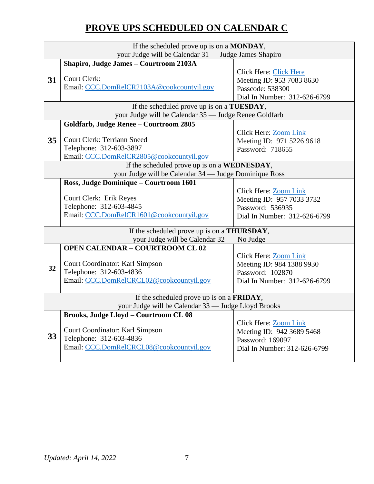## **PROVE UPS SCHEDULED ON CALENDAR C**

|                                              | If the scheduled prove up is on a MONDAY,             |                               |  |
|----------------------------------------------|-------------------------------------------------------|-------------------------------|--|
|                                              | your Judge will be Calendar 31 - Judge James Shapiro  |                               |  |
|                                              | Shapiro, Judge James - Courtroom 2103A                |                               |  |
|                                              | Court Clerk:                                          | <b>Click Here: Click Here</b> |  |
| 31                                           |                                                       | Meeting ID: 953 7083 8630     |  |
|                                              | Email: CCC.DomRelCR2103A@cookcountyil.gov             | Passcode: 538300              |  |
|                                              |                                                       | Dial In Number: 312-626-6799  |  |
|                                              | If the scheduled prove up is on a <b>TUESDAY</b> ,    |                               |  |
|                                              | your Judge will be Calendar 35 - Judge Renee Goldfarb |                               |  |
|                                              | Goldfarb, Judge Renee - Courtroom 2805                |                               |  |
|                                              |                                                       | Click Here: Zoom Link         |  |
| 35                                           | <b>Court Clerk: Terriann Sneed</b>                    | Meeting ID: 971 5226 9618     |  |
|                                              | Telephone: 312-603-3897                               | Password: 718655              |  |
|                                              | Email: CCC.DomRelCR2805@cookcountyil.gov              |                               |  |
| If the scheduled prove up is on a WEDNESDAY, |                                                       |                               |  |
|                                              | your Judge will be Calendar 34 - Judge Dominique Ross |                               |  |
|                                              | Ross, Judge Dominique - Courtroom 1601                |                               |  |
|                                              |                                                       | Click Here: <b>Zoom Link</b>  |  |
|                                              | <b>Court Clerk: Erik Reyes</b>                        | Meeting ID: 957 7033 3732     |  |
|                                              | Telephone: 312-603-4845                               | Password: 536935              |  |
|                                              | Email: CCC.DomRelCR1601@cookcountyil.gov              | Dial In Number: 312-626-6799  |  |
|                                              |                                                       |                               |  |
|                                              | If the scheduled prove up is on a <b>THURSDAY</b> ,   |                               |  |
|                                              | your Judge will be Calendar 32 - No Judge             |                               |  |
|                                              | <b>OPEN CALENDAR - COURTROOM CL 02</b>                |                               |  |
|                                              |                                                       | Click Here: <b>Zoom Link</b>  |  |
| 32                                           | Court Coordinator: Karl Simpson                       | Meeting ID: 984 1388 9930     |  |
|                                              | Telephone: 312-603-4836                               | Password: 102870              |  |
|                                              | Email: CCC.DomRelCRCL02@cookcountyil.gov              | Dial In Number: 312-626-6799  |  |
|                                              | If the scheduled prove up is on a <b>FRIDAY</b> ,     |                               |  |
|                                              | your Judge will be Calendar 33 - Judge Lloyd Brooks   |                               |  |
|                                              | <b>Brooks, Judge Lloyd - Courtroom CL 08</b>          |                               |  |
|                                              |                                                       | Click Here: Zoom Link         |  |
|                                              | Court Coordinator: Karl Simpson                       | Meeting ID: 942 3689 5468     |  |
| 33                                           | Telephone: 312-603-4836                               | Password: 169097              |  |
|                                              | Email: CCC.DomRelCRCL08@cookcountyil.gov              | Dial In Number: 312-626-6799  |  |
|                                              |                                                       |                               |  |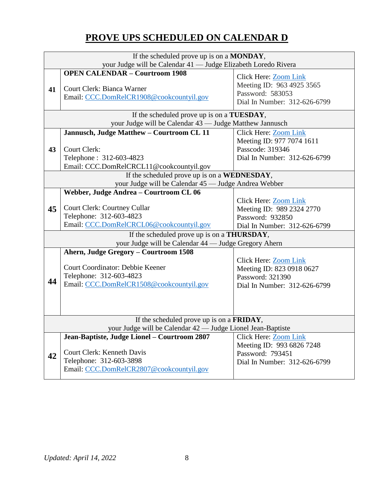## **PROVE UPS SCHEDULED ON CALENDAR D**

| If the scheduled prove up is on a MONDAY,                   |                                                                     |                              |  |
|-------------------------------------------------------------|---------------------------------------------------------------------|------------------------------|--|
|                                                             | your Judge will be Calendar 41 - Judge Elizabeth Loredo Rivera      |                              |  |
|                                                             | <b>OPEN CALENDAR - Courtroom 1908</b>                               | Click Here: Zoom Link        |  |
|                                                             |                                                                     | Meeting ID: 963 4925 3565    |  |
| 41                                                          | Court Clerk: Bianca Warner                                          | Password: 583053             |  |
|                                                             | Email: CCC.DomRelCR1908@cookcountyil.gov                            | Dial In Number: 312-626-6799 |  |
|                                                             | If the scheduled prove up is on a TUESDAY,                          |                              |  |
|                                                             | your Judge will be Calendar 43 - Judge Matthew Jannusch             |                              |  |
|                                                             | Jannusch, Judge Matthew - Courtroom CL 11                           | <b>Click Here: Zoom Link</b> |  |
|                                                             |                                                                     | Meeting ID: 977 7074 1611    |  |
| 43                                                          | Court Clerk:                                                        | Passcode: 319346             |  |
|                                                             | Telephone: 312-603-4823                                             | Dial In Number: 312-626-6799 |  |
|                                                             | Email: CCC.DomRelCRCL11@cookcountyil.gov                            |                              |  |
| If the scheduled prove up is on a WEDNESDAY,                |                                                                     |                              |  |
| your Judge will be Calendar 45 - Judge Andrea Webber        |                                                                     |                              |  |
|                                                             | Webber, Judge Andrea - Courtroom CL 06                              |                              |  |
|                                                             |                                                                     | Click Here: Zoom Link        |  |
| 45                                                          | <b>Court Clerk: Courtney Cullar</b>                                 | Meeting ID: 989 2324 2770    |  |
|                                                             | Telephone: 312-603-4823                                             | Password: 932850             |  |
|                                                             | Email: CCC.DomRelCRCL06@cookcountyil.gov                            | Dial In Number: 312-626-6799 |  |
| If the scheduled prove up is on a <b>THURSDAY</b> ,         |                                                                     |                              |  |
|                                                             | your Judge will be Calendar 44 - Judge Gregory Ahern                |                              |  |
|                                                             | Ahern, Judge Gregory - Courtroom 1508                               |                              |  |
|                                                             |                                                                     | <b>Click Here: Zoom Link</b> |  |
|                                                             | Court Coordinator: Debbie Keener                                    | Meeting ID: 823 0918 0627    |  |
|                                                             | Telephone: 312-603-4823                                             | Password: 321390             |  |
| 44                                                          | Email: CCC.DomRelCR1508@cookcountyil.gov                            | Dial In Number: 312-626-6799 |  |
|                                                             |                                                                     |                              |  |
|                                                             |                                                                     |                              |  |
|                                                             |                                                                     |                              |  |
| If the scheduled prove up is on a FRIDAY,                   |                                                                     |                              |  |
| your Judge will be Calendar 42 - Judge Lionel Jean-Baptiste |                                                                     |                              |  |
|                                                             | Jean-Baptiste, Judge Lionel - Courtroom 2807                        | <b>Click Here: Zoom Link</b> |  |
|                                                             |                                                                     | Meeting ID: 993 6826 7248    |  |
|                                                             |                                                                     |                              |  |
| 42                                                          | <b>Court Clerk: Kenneth Davis</b>                                   | Password: 793451             |  |
|                                                             | Telephone: 312-603-3898<br>Email: CCC.DomRelCR2807@cookcountyil.gov | Dial In Number: 312-626-6799 |  |